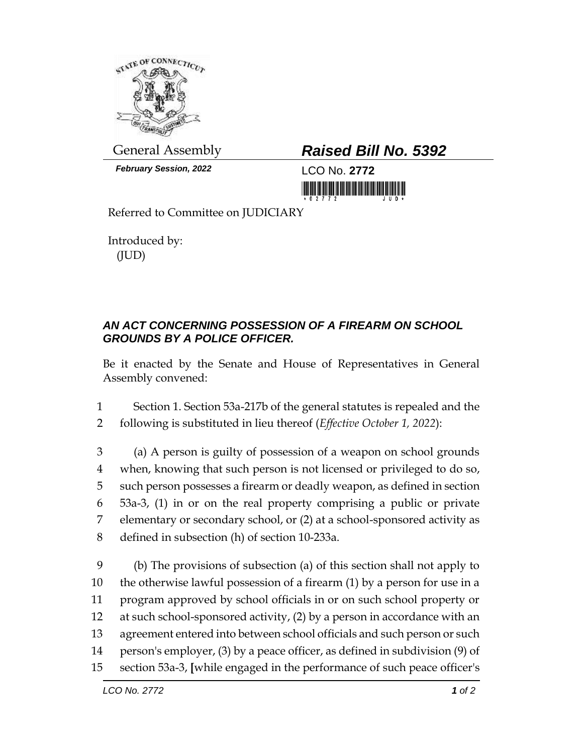

*February Session, 2022* LCO No. **2772**

## General Assembly *Raised Bill No. 5392*

Referred to Committee on JUDICIARY

Introduced by: (JUD)

## *AN ACT CONCERNING POSSESSION OF A FIREARM ON SCHOOL GROUNDS BY A POLICE OFFICER.*

Be it enacted by the Senate and House of Representatives in General Assembly convened:

1 Section 1. Section 53a-217b of the general statutes is repealed and the 2 following is substituted in lieu thereof (*Effective October 1, 2022*):

 (a) A person is guilty of possession of a weapon on school grounds when, knowing that such person is not licensed or privileged to do so, such person possesses a firearm or deadly weapon, as defined in section 53a-3, (1) in or on the real property comprising a public or private elementary or secondary school, or (2) at a school-sponsored activity as defined in subsection (h) of section 10-233a.

 (b) The provisions of subsection (a) of this section shall not apply to the otherwise lawful possession of a firearm (1) by a person for use in a program approved by school officials in or on such school property or at such school-sponsored activity, (2) by a person in accordance with an agreement entered into between school officials and such person or such person's employer, (3) by a peace officer, as defined in subdivision (9) of section 53a-3, **[**while engaged in the performance of such peace officer's